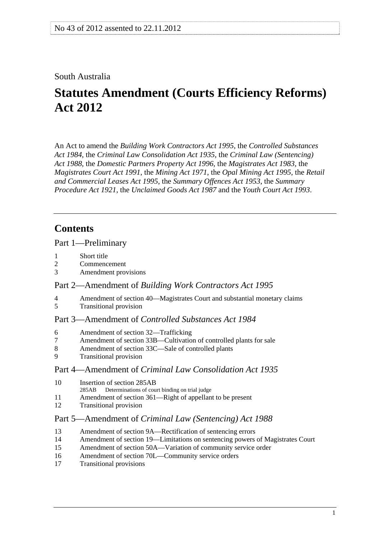## <span id="page-0-0"></span>South Australia

# **Statutes Amendment (Courts Efficiency Reforms) Act 2012**

An Act to amend the *[Building Work Contractors Act 1995](http://www.legislation.sa.gov.au/index.aspx?action=legref&type=act&legtitle=Building%20Work%20Contractors%20Act%201995)*, the *[Controlled Substances](http://www.legislation.sa.gov.au/index.aspx?action=legref&type=act&legtitle=Controlled%20Substances%20Act%201984)  [Act 1984](http://www.legislation.sa.gov.au/index.aspx?action=legref&type=act&legtitle=Controlled%20Substances%20Act%201984)*, the *[Criminal Law Consolidation Act 1935](http://www.legislation.sa.gov.au/index.aspx?action=legref&type=act&legtitle=Criminal%20Law%20Consolidation%20Act%201935)*, the *[Criminal Law \(Sentencing\)](http://www.legislation.sa.gov.au/index.aspx?action=legref&type=act&legtitle=Criminal%20Law%20(Sentencing)%20Act%201988)  [Act 1988](http://www.legislation.sa.gov.au/index.aspx?action=legref&type=act&legtitle=Criminal%20Law%20(Sentencing)%20Act%201988)*, the *[Domestic Partners Property Act 1996](http://www.legislation.sa.gov.au/index.aspx?action=legref&type=act&legtitle=Domestic%20Partners%20Property%20Act%201996)*, the *[Magistrates Act 1983](http://www.legislation.sa.gov.au/index.aspx?action=legref&type=act&legtitle=Magistrates%20Act%201983)*, the *[Magistrates Court Act 1991](http://www.legislation.sa.gov.au/index.aspx?action=legref&type=act&legtitle=Magistrates%20Court%20Act%201991)*, the *[Mining Act 1971](http://www.legislation.sa.gov.au/index.aspx?action=legref&type=act&legtitle=Mining%20Act%201971)*, the *[Opal Mining Act 1995](http://www.legislation.sa.gov.au/index.aspx?action=legref&type=act&legtitle=Opal%20Mining%20Act%201995)*, the *[Retail](http://www.legislation.sa.gov.au/index.aspx?action=legref&type=act&legtitle=Retail%20and%20Commercial%20Leases%20Act%201995)  [and Commercial Leases Act 1995](http://www.legislation.sa.gov.au/index.aspx?action=legref&type=act&legtitle=Retail%20and%20Commercial%20Leases%20Act%201995)*, the *[Summary Offences Act 1953](http://www.legislation.sa.gov.au/index.aspx?action=legref&type=act&legtitle=Summary%20Offences%20Act%201953)*, the *[Summary](http://www.legislation.sa.gov.au/index.aspx?action=legref&type=act&legtitle=Summary%20Procedure%20Act%201921)  [Procedure Act 1921](http://www.legislation.sa.gov.au/index.aspx?action=legref&type=act&legtitle=Summary%20Procedure%20Act%201921)*, the *[Unclaimed Goods Act 1987](http://www.legislation.sa.gov.au/index.aspx?action=legref&type=act&legtitle=Unclaimed%20Goods%20Act%201987)* and the *[Youth Court Act 1993](http://www.legislation.sa.gov.au/index.aspx?action=legref&type=act&legtitle=Youth%20Court%20Act%201993)*.

## **Contents**

#### [Part 1—Preliminary](#page-2-0)

- [1 Short title](#page-2-0)
- [2 Commencement](#page-2-0)
- [3 Amendment provisions](#page-2-0)

## Part 2—Amendment of *[Building Work Contractors Act 1995](#page-2-0)*

- [4 Amendment of section 40—Magistrates Court and substantial monetary claims](#page-2-0)<br>5 Transitional provision
- [5 Transitional provision](#page-2-0)

## Part 3—Amendment of *[Controlled Substances Act 1984](#page-2-0)*

- [6 Amendment of section 32—Trafficking](#page-2-0)
- [7 Amendment of section 33B—Cultivation of controlled plants for sale](#page-2-0)
- [8 Amendment of section 33C—Sale of controlled plants](#page-3-0)
- [9 Transitional provision](#page-3-0)

## Part 4—Amendment of *[Criminal Law Consolidation Act 1935](#page-3-0)*

- [10 Insertion of section 285AB](#page-3-0)
- [285AB Determinations of court binding on trial judge](#page-0-0)
- [11 Amendment of section 361—Right of appellant to be present](#page-3-0)
- [12 Transitional provision](#page-4-0)

## Part 5—Amendment of *[Criminal Law \(Sentencing\) Act 1988](#page-4-0)*

- [13 Amendment of section 9A—Rectification of sentencing errors](#page-4-0)
- [14 Amendment of section 19—Limitations on sentencing powers of Magistrates Court](#page-4-0)
- [15 Amendment of section 50A—Variation of community service order](#page-4-0)
- [16 Amendment of section 70L—Community service orders](#page-5-0)
- [17 Transitional provisions](#page-6-0)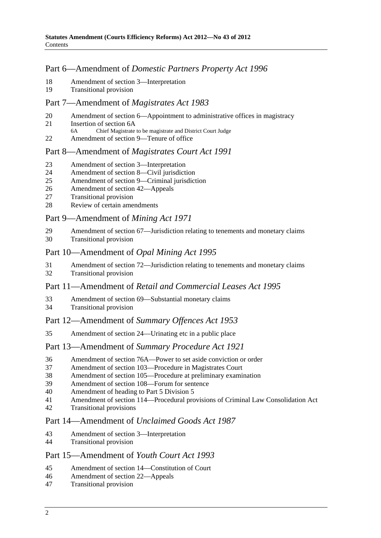## Part 6—Amendment of *[Domestic Partners Property Act 1996](#page-6-0)*

- [18 Amendment of section 3—Interpretation](#page-6-0)
- [19 Transitional provision](#page-6-0)

#### [Part 7—Amendment of](#page-6-0) *Magistrates Act 1983*

- [20 Amendment of section 6—Appointment to administrative offices in magistracy](#page-6-0)
- [21 Insertion of section 6A](#page-7-0)
- [6A Chief Magistrate to be magistrate and District Court Judge](#page-0-0)
- [22 Amendment of section 9—Tenure of office](#page-7-0)

## Part 8—Amendment of *[Magistrates Court Act 1991](#page-7-0)*

- [23 Amendment of section 3—Interpretation](#page-7-0)
- [24 Amendment of section 8—Civil jurisdiction](#page-8-0)
- [25 Amendment of section 9—Criminal jurisdiction](#page-8-0)
- [26 Amendment of section 42—Appeals](#page-8-0)
- [27 Transitional provision](#page-8-0)
- [28 Review of certain amendments](#page-9-0)

#### [Part 9—Amendment of](#page-9-0) *Mining Act 1971*

[29 Amendment of section 67—Jurisdiction relating to tenements and monetary claims](#page-9-0) [30 Transitional provision](#page-9-0)

#### [Part 10—Amendment of](#page-9-0) *Opal Mining Act 1995*

- [31 Amendment of section 72—Jurisdiction relating to tenements and monetary claims](#page-9-0)
- [32 Transitional provision](#page-9-0)

## Part 11—Amendment of *[Retail and Commercial Leases Act 1995](#page-10-0)*

- [33 Amendment of section 69—Substantial monetary claims](#page-10-0)
- [34 Transitional provision](#page-10-0)

## Part 12—Amendment of *[Summary Offences Act 1953](#page-10-0)*

[35 Amendment of section 24—Urinating etc in a public place](#page-10-0)

#### Part 13—Amendment of *[Summary Procedure Act 1921](#page-10-0)*

- [36 Amendment of section 76A—Power to set aside conviction or order](#page-10-0)
- [37 Amendment of section 103—Procedure in Magistrates Court](#page-10-0)
- [38 Amendment of section 105—Procedure at preliminary examination](#page-11-0)
- [39 Amendment of section 108—Forum for sentence](#page-11-0)
- [40 Amendment of heading to Part 5 Division 5](#page-11-0)
- [41 Amendment of section 114—Procedural provisions of Criminal Law Consolidation Act](#page-11-0)
- [42 Transitional provisions](#page-12-0)

#### Part 14—Amendment of *[Unclaimed Goods Act 1987](#page-12-0)*

- [43 Amendment of section 3—Interpretation](#page-12-0)
- [44 Transitional provision](#page-12-0)

## [Part 15—Amendment of](#page-12-0) *Youth Court Act 1993*

- [45 Amendment of section 14—Constitution of Court](#page-12-0)
- [46 Amendment of section 22—Appeals](#page-13-0)
- [47 Transitional provision](#page-13-0)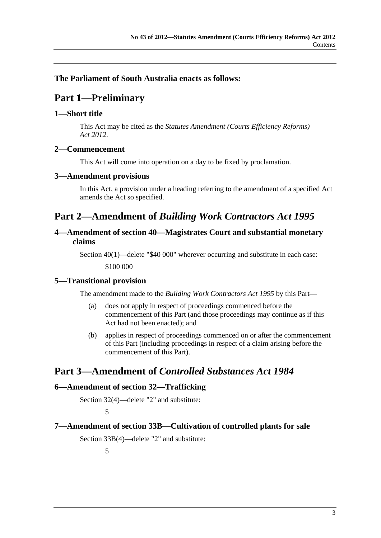## <span id="page-2-0"></span>**The Parliament of South Australia enacts as follows:**

## **Part 1—Preliminary**

#### **1—Short title**

This Act may be cited as the *Statutes Amendment (Courts Efficiency Reforms) Act 2012*.

#### **2—Commencement**

This Act will come into operation on a day to be fixed by proclamation.

#### **3—Amendment provisions**

In this Act, a provision under a heading referring to the amendment of a specified Act amends the Act so specified.

## **Part 2—Amendment of** *Building Work Contractors Act 1995*

## **4—Amendment of section 40—Magistrates Court and substantial monetary claims**

Section 40(1)—delete "\$40 000" wherever occurring and substitute in each case:

\$100 000

#### **5—Transitional provision**

The amendment made to the *[Building Work Contractors Act 1995](http://www.legislation.sa.gov.au/index.aspx?action=legref&type=act&legtitle=Building%20Work%20Contractors%20Act%201995)* by this Part—

- (a) does not apply in respect of proceedings commenced before the commencement of this Part (and those proceedings may continue as if this Act had not been enacted); and
- (b) applies in respect of proceedings commenced on or after the commencement of this Part (including proceedings in respect of a claim arising before the commencement of this Part).

## **Part 3—Amendment of** *Controlled Substances Act 1984*

#### **6—Amendment of section 32—Trafficking**

Section 32(4)—delete "2" and substitute:

5

#### **7—Amendment of section 33B—Cultivation of controlled plants for sale**

Section 33B(4)—delete "2" and substitute:

5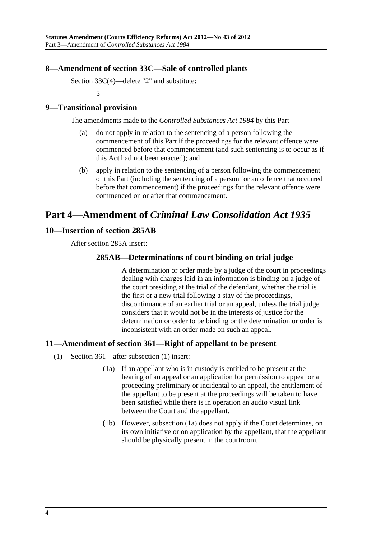## <span id="page-3-0"></span>**8—Amendment of section 33C—Sale of controlled plants**

Section 33C(4)—delete "2" and substitute:

5

## **9—Transitional provision**

The amendments made to the *[Controlled Substances Act 1984](http://www.legislation.sa.gov.au/index.aspx?action=legref&type=act&legtitle=Controlled%20Substances%20Act%201984)* by this Part—

- (a) do not apply in relation to the sentencing of a person following the commencement of this Part if the proceedings for the relevant offence were commenced before that commencement (and such sentencing is to occur as if this Act had not been enacted); and
- (b) apply in relation to the sentencing of a person following the commencement of this Part (including the sentencing of a person for an offence that occurred before that commencement) if the proceedings for the relevant offence were commenced on or after that commencement.

## **Part 4—Amendment of** *Criminal Law Consolidation Act 1935*

#### **10—Insertion of section 285AB**

After section 285A insert:

## **285AB—Determinations of court binding on trial judge**

A determination or order made by a judge of the court in proceedings dealing with charges laid in an information is binding on a judge of the court presiding at the trial of the defendant, whether the trial is the first or a new trial following a stay of the proceedings, discontinuance of an earlier trial or an appeal, unless the trial judge considers that it would not be in the interests of justice for the determination or order to be binding or the determination or order is inconsistent with an order made on such an appeal.

## **11—Amendment of section 361—Right of appellant to be present**

- (1) Section 361—after subsection (1) insert:
	- (1a) If an appellant who is in custody is entitled to be present at the hearing of an appeal or an application for permission to appeal or a proceeding preliminary or incidental to an appeal, the entitlement of the appellant to be present at the proceedings will be taken to have been satisfied while there is in operation an audio visual link between the Court and the appellant.
	- (1b) However, [subsection \(1a\)](#page-3-0) does not apply if the Court determines, on its own initiative or on application by the appellant, that the appellant should be physically present in the courtroom.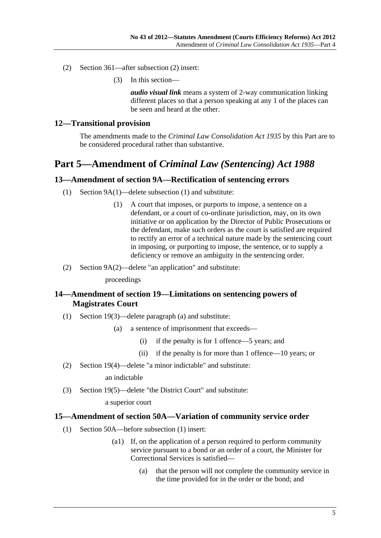- <span id="page-4-0"></span> (2) Section 361—after subsection (2) insert:
	- (3) In this section—

*audio visual link* means a system of 2-way communication linking different places so that a person speaking at any 1 of the places can be seen and heard at the other.

#### **12—Transitional provision**

The amendments made to the *[Criminal Law Consolidation Act 1935](http://www.legislation.sa.gov.au/index.aspx?action=legref&type=act&legtitle=Criminal%20Law%20Consolidation%20Act%201935)* by this Part are to be considered procedural rather than substantive.

## **Part 5—Amendment of** *Criminal Law (Sentencing) Act 1988*

#### **13—Amendment of section 9A—Rectification of sentencing errors**

- (1) Section 9A(1)—delete subsection (1) and substitute:
	- (1) A court that imposes, or purports to impose, a sentence on a defendant, or a court of co-ordinate jurisdiction, may, on its own initiative or on application by the Director of Public Prosecutions or the defendant, make such orders as the court is satisfied are required to rectify an error of a technical nature made by the sentencing court in imposing, or purporting to impose, the sentence, or to supply a deficiency or remove an ambiguity in the sentencing order.
- (2) Section 9A(2)—delete "an application" and substitute:

#### proceedings

## **14—Amendment of section 19—Limitations on sentencing powers of Magistrates Court**

- (1) Section 19(3)—delete paragraph (a) and substitute:
	- (a) a sentence of imprisonment that exceeds—
		- (i) if the penalty is for 1 offence—5 years; and
		- (ii) if the penalty is for more than 1 offence—10 years; or
- (2) Section 19(4)—delete "a minor indictable" and substitute:

#### an indictable

(3) Section 19(5)—delete "the District Court" and substitute:

a superior court

#### **15—Amendment of section 50A—Variation of community service order**

- (1) Section 50A—before subsection (1) insert:
	- (a1) If, on the application of a person required to perform community service pursuant to a bond or an order of a court, the Minister for Correctional Services is satisfied—
		- (a) that the person will not complete the community service in the time provided for in the order or the bond; and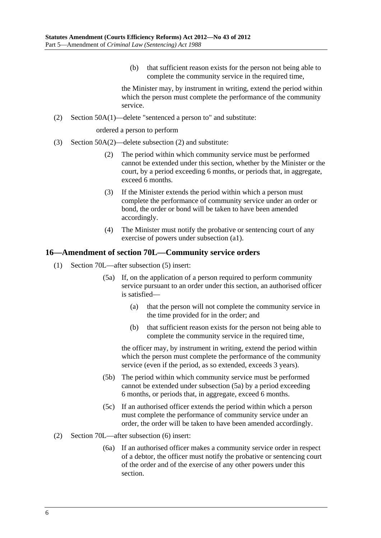(b) that sufficient reason exists for the person not being able to complete the community service in the required time,

the Minister may, by instrument in writing, extend the period within which the person must complete the performance of the community service.

<span id="page-5-0"></span>(2) Section 50A(1)—delete "sentenced a person to" and substitute:

ordered a person to perform

- (3) Section 50A(2)—delete subsection (2) and substitute:
	- (2) The period within which community service must be performed cannot be extended under this section, whether by the Minister or the court, by a period exceeding 6 months, or periods that, in aggregate, exceed 6 months.
	- (3) If the Minister extends the period within which a person must complete the performance of community service under an order or bond, the order or bond will be taken to have been amended accordingly.
	- (4) The Minister must notify the probative or sentencing court of any exercise of powers under subsection (a1).

#### **16—Amendment of section 70L—Community service orders**

- (1) Section 70L—after subsection (5) insert:
	- (5a) If, on the application of a person required to perform community service pursuant to an order under this section, an authorised officer is satisfied—
		- (a) that the person will not complete the community service in the time provided for in the order; and
		- (b) that sufficient reason exists for the person not being able to complete the community service in the required time,

the officer may, by instrument in writing, extend the period within which the person must complete the performance of the community service (even if the period, as so extended, exceeds 3 years).

- (5b) The period within which community service must be performed cannot be extended under [subsection \(5a\)](#page-5-0) by a period exceeding 6 months, or periods that, in aggregate, exceed 6 months.
- (5c) If an authorised officer extends the period within which a person must complete the performance of community service under an order, the order will be taken to have been amended accordingly.
- (2) Section 70L—after subsection (6) insert:
	- (6a) If an authorised officer makes a community service order in respect of a debtor, the officer must notify the probative or sentencing court of the order and of the exercise of any other powers under this section.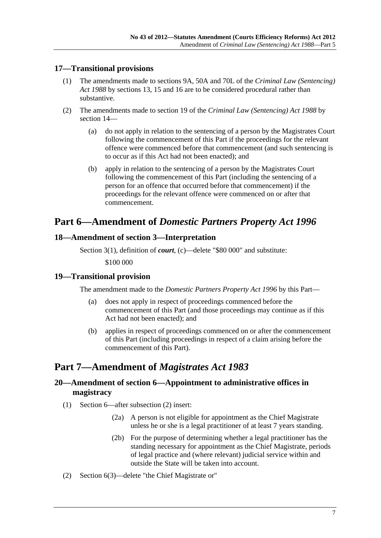## <span id="page-6-0"></span>**17—Transitional provisions**

- (1) The amendments made to sections 9A, 50A and 70L of the *[Criminal Law \(Sentencing\)](http://www.legislation.sa.gov.au/index.aspx?action=legref&type=act&legtitle=Criminal%20Law%20(Sentencing)%20Act%201988)  [Act 1988](http://www.legislation.sa.gov.au/index.aspx?action=legref&type=act&legtitle=Criminal%20Law%20(Sentencing)%20Act%201988)* by [sections 13, 15](#page-4-0) and [16](#page-5-0) are to be considered procedural rather than substantive.
- (2) The amendments made to section 19 of the *[Criminal Law \(Sentencing\) Act 1988](http://www.legislation.sa.gov.au/index.aspx?action=legref&type=act&legtitle=Criminal%20Law%20(Sentencing)%20Act%201988)* by [section 14—](#page-4-0)
	- (a) do not apply in relation to the sentencing of a person by the Magistrates Court following the commencement of this Part if the proceedings for the relevant offence were commenced before that commencement (and such sentencing is to occur as if this Act had not been enacted); and
	- (b) apply in relation to the sentencing of a person by the Magistrates Court following the commencement of this Part (including the sentencing of a person for an offence that occurred before that commencement) if the proceedings for the relevant offence were commenced on or after that commencement.

## **Part 6—Amendment of** *Domestic Partners Property Act 1996*

## **18—Amendment of section 3—Interpretation**

Section 3(1), definition of *court*, (c)—delete "\$80 000" and substitute:

\$100 000

## **19—Transitional provision**

The amendment made to the *[Domestic Partners Property Act 1996](http://www.legislation.sa.gov.au/index.aspx?action=legref&type=act&legtitle=Domestic%20Partners%20Property%20Act%201996)* by this Part—

- (a) does not apply in respect of proceedings commenced before the commencement of this Part (and those proceedings may continue as if this Act had not been enacted); and
- (b) applies in respect of proceedings commenced on or after the commencement of this Part (including proceedings in respect of a claim arising before the commencement of this Part).

## **Part 7—Amendment of** *Magistrates Act 1983*

## **20—Amendment of section 6—Appointment to administrative offices in magistracy**

- (1) Section 6—after subsection (2) insert:
	- (2a) A person is not eligible for appointment as the Chief Magistrate unless he or she is a legal practitioner of at least 7 years standing.
	- (2b) For the purpose of determining whether a legal practitioner has the standing necessary for appointment as the Chief Magistrate, periods of legal practice and (where relevant) judicial service within and outside the State will be taken into account.
- (2) Section 6(3)—delete "the Chief Magistrate or"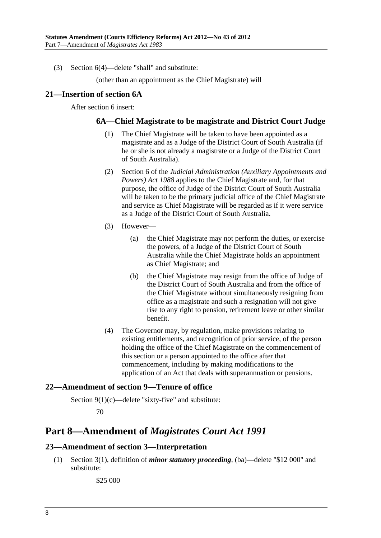<span id="page-7-0"></span>(3) Section 6(4)—delete "shall" and substitute:

(other than an appointment as the Chief Magistrate) will

#### **21—Insertion of section 6A**

After section 6 insert:

#### **6A—Chief Magistrate to be magistrate and District Court Judge**

- (1) The Chief Magistrate will be taken to have been appointed as a magistrate and as a Judge of the District Court of South Australia (if he or she is not already a magistrate or a Judge of the District Court of South Australia).
- (2) Section 6 of the *[Judicial Administration \(Auxiliary Appointments and](http://www.legislation.sa.gov.au/index.aspx?action=legref&type=act&legtitle=Judicial%20Administration%20(Auxiliary%20Appointments%20and%20Powers)%20Act%201988)  [Powers\) Act 1988](http://www.legislation.sa.gov.au/index.aspx?action=legref&type=act&legtitle=Judicial%20Administration%20(Auxiliary%20Appointments%20and%20Powers)%20Act%201988)* applies to the Chief Magistrate and, for that purpose, the office of Judge of the District Court of South Australia will be taken to be the primary judicial office of the Chief Magistrate and service as Chief Magistrate will be regarded as if it were service as a Judge of the District Court of South Australia.
- (3) However—
	- (a) the Chief Magistrate may not perform the duties, or exercise the powers, of a Judge of the District Court of South Australia while the Chief Magistrate holds an appointment as Chief Magistrate; and
	- (b) the Chief Magistrate may resign from the office of Judge of the District Court of South Australia and from the office of the Chief Magistrate without simultaneously resigning from office as a magistrate and such a resignation will not give rise to any right to pension, retirement leave or other similar benefit.
- (4) The Governor may, by regulation, make provisions relating to existing entitlements, and recognition of prior service, of the person holding the office of the Chief Magistrate on the commencement of this section or a person appointed to the office after that commencement, including by making modifications to the application of an Act that deals with superannuation or pensions.

## **22—Amendment of section 9—Tenure of office**

Section 9(1)(c)—delete "sixty-five" and substitute:

70

## **Part 8—Amendment of** *Magistrates Court Act 1991*

## **23—Amendment of section 3—Interpretation**

 (1) Section 3(1), definition of *minor statutory proceeding*, (ba)—delete "\$12 000" and substitute:

\$25 000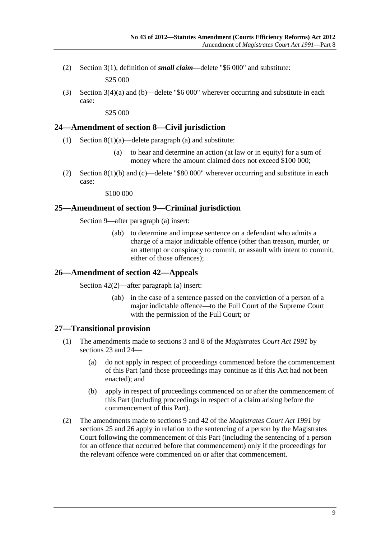<span id="page-8-0"></span> (2) Section 3(1), definition of *small claim*—delete "\$6 000" and substitute: \$25 000

 (3) Section 3(4)(a) and (b)—delete "\$6 000" wherever occurring and substitute in each case:

\$25 000

#### **24—Amendment of section 8—Civil jurisdiction**

- (1) Section  $8(1)(a)$ —delete paragraph (a) and substitute:
	- (a) to hear and determine an action (at law or in equity) for a sum of money where the amount claimed does not exceed \$100 000;
- (2) Section 8(1)(b) and (c)—delete "\$80 000" wherever occurring and substitute in each case:

\$100 000

#### **25—Amendment of section 9—Criminal jurisdiction**

Section 9—after paragraph (a) insert:

 (ab) to determine and impose sentence on a defendant who admits a charge of a major indictable offence (other than treason, murder, or an attempt or conspiracy to commit, or assault with intent to commit, either of those offences);

#### **26—Amendment of section 42—Appeals**

Section 42(2)—after paragraph (a) insert:

 (ab) in the case of a sentence passed on the conviction of a person of a major indictable offence—to the Full Court of the Supreme Court with the permission of the Full Court; or

## **27—Transitional provision**

- (1) The amendments made to sections 3 and 8 of the *[Magistrates Court Act 1991](http://www.legislation.sa.gov.au/index.aspx?action=legref&type=act&legtitle=Magistrates%20Court%20Act%201991)* by [sections 23](#page-7-0) and [24](#page-8-0)—
	- (a) do not apply in respect of proceedings commenced before the commencement of this Part (and those proceedings may continue as if this Act had not been enacted); and
	- (b) apply in respect of proceedings commenced on or after the commencement of this Part (including proceedings in respect of a claim arising before the commencement of this Part).
- (2) The amendments made to sections 9 and 42 of the *[Magistrates Court Act 1991](http://www.legislation.sa.gov.au/index.aspx?action=legref&type=act&legtitle=Magistrates%20Court%20Act%201991)* by [sections 25](#page-8-0) and [26](#page-8-0) apply in relation to the sentencing of a person by the Magistrates Court following the commencement of this Part (including the sentencing of a person for an offence that occurred before that commencement) only if the proceedings for the relevant offence were commenced on or after that commencement.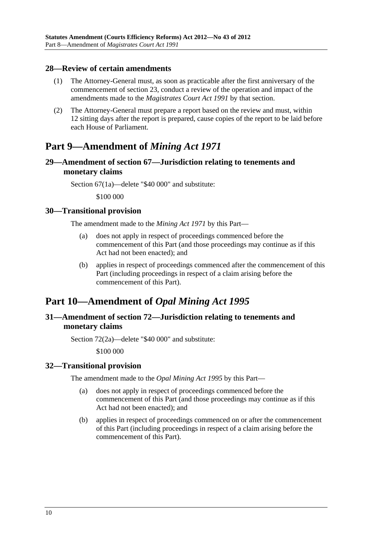#### <span id="page-9-0"></span>**28—Review of certain amendments**

- (1) The Attorney-General must, as soon as practicable after the first anniversary of the commencement of [section 23,](#page-7-0) conduct a review of the operation and impact of the amendments made to the *[Magistrates Court Act 1991](http://www.legislation.sa.gov.au/index.aspx?action=legref&type=act&legtitle=Magistrates%20Court%20Act%201991)* by that section.
- (2) The Attorney-General must prepare a report based on the review and must, within 12 sitting days after the report is prepared, cause copies of the report to be laid before each House of Parliament.

## **Part 9—Amendment of** *Mining Act 1971*

## **29—Amendment of section 67—Jurisdiction relating to tenements and monetary claims**

Section 67(1a)—delete "\$40 000" and substitute:

\$100 000

#### **30—Transitional provision**

The amendment made to the *[Mining Act 1971](http://www.legislation.sa.gov.au/index.aspx?action=legref&type=act&legtitle=Mining%20Act%201971)* by this Part—

- (a) does not apply in respect of proceedings commenced before the commencement of this Part (and those proceedings may continue as if this Act had not been enacted); and
- (b) applies in respect of proceedings commenced after the commencement of this Part (including proceedings in respect of a claim arising before the commencement of this Part).

## **Part 10—Amendment of** *Opal Mining Act 1995*

## **31—Amendment of section 72—Jurisdiction relating to tenements and monetary claims**

Section 72(2a)—delete "\$40 000" and substitute:

\$100 000

#### **32—Transitional provision**

The amendment made to the *[Opal Mining Act 1995](http://www.legislation.sa.gov.au/index.aspx?action=legref&type=act&legtitle=Opal%20Mining%20Act%201995)* by this Part—

- (a) does not apply in respect of proceedings commenced before the commencement of this Part (and those proceedings may continue as if this Act had not been enacted); and
- (b) applies in respect of proceedings commenced on or after the commencement of this Part (including proceedings in respect of a claim arising before the commencement of this Part).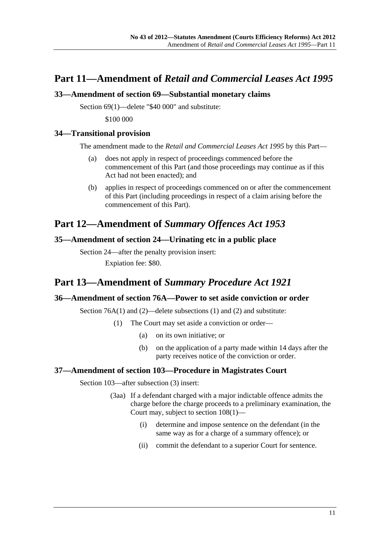## <span id="page-10-0"></span>**Part 11—Amendment of** *Retail and Commercial Leases Act 1995*

#### **33—Amendment of section 69—Substantial monetary claims**

Section 69(1)—delete "\$40 000" and substitute:

\$100 000

#### **34—Transitional provision**

The amendment made to the *[Retail and Commercial Leases Act 1995](http://www.legislation.sa.gov.au/index.aspx?action=legref&type=act&legtitle=Retail%20and%20Commercial%20Leases%20Act%201995)* by this Part—

- (a) does not apply in respect of proceedings commenced before the commencement of this Part (and those proceedings may continue as if this Act had not been enacted); and
- (b) applies in respect of proceedings commenced on or after the commencement of this Part (including proceedings in respect of a claim arising before the commencement of this Part).

## **Part 12—Amendment of** *Summary Offences Act 1953*

#### **35—Amendment of section 24—Urinating etc in a public place**

Section 24—after the penalty provision insert: Expiation fee: \$80.

## **Part 13—Amendment of** *Summary Procedure Act 1921*

## **36—Amendment of section 76A—Power to set aside conviction or order**

Section 76A(1) and (2)—delete subsections (1) and (2) and substitute:

- (1) The Court may set aside a conviction or order—
	- (a) on its own initiative; or
	- (b) on the application of a party made within 14 days after the party receives notice of the conviction or order.

## **37—Amendment of section 103—Procedure in Magistrates Court**

Section 103—after subsection (3) insert:

- (3aa) If a defendant charged with a major indictable offence admits the charge before the charge proceeds to a preliminary examination, the Court may, subject to section 108(1)—
	- (i) determine and impose sentence on the defendant (in the same way as for a charge of a summary offence); or
	- (ii) commit the defendant to a superior Court for sentence.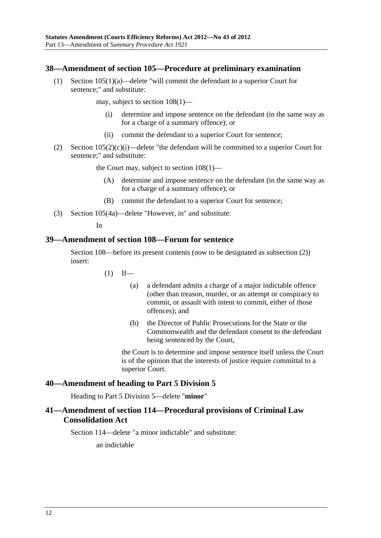#### <span id="page-11-0"></span>**38—Amendment of section 105—Procedure at preliminary examination**

 (1) Section 105(1)(a)—delete "will commit the defendant to a superior Court for sentence;" and substitute:

may, subject to section 108(1)—

- (i) determine and impose sentence on the defendant (in the same way as for a charge of a summary offence); or
- (ii) commit the defendant to a superior Court for sentence;
- (2) Section 105(2)(c)(i)—delete "the defendant will be committed to a superior Court for sentence;" and substitute:

the Court may, subject to section 108(1)—

- (A) determine and impose sentence on the defendant (in the same way as for a charge of a summary offence); or
- (B) commit the defendant to a superior Court for sentence;
- (3) Section 105(4a)—delete "However, in" and substitute:

In

#### **39—Amendment of section 108—Forum for sentence**

Section 108—before its present contents (now to be designated as subsection (2)) insert:

- $(1)$  If—
	- (a) a defendant admits a charge of a major indictable offence (other than treason, murder, or an attempt or conspiracy to commit, or assault with intent to commit, either of those offences); and
	- (b) the Director of Public Prosecutions for the State or the Commonwealth and the defendant consent to the defendant being sentenced by the Court,

the Court is to determine and impose sentence itself unless the Court is of the opinion that the interests of justice require committal to a superior Court.

#### **40—Amendment of heading to Part 5 Division 5**

Heading to Part 5 Division 5—delete "**minor**"

## **41—Amendment of section 114—Procedural provisions of Criminal Law Consolidation Act**

Section 114—delete "a minor indictable" and substitute:

an indictable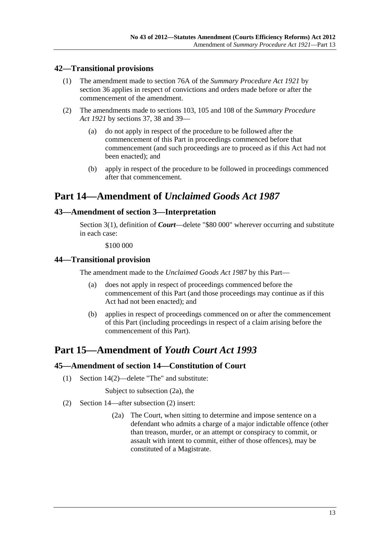## <span id="page-12-0"></span>**42—Transitional provisions**

- (1) The amendment made to section 76A of the *[Summary Procedure Act 1921](http://www.legislation.sa.gov.au/index.aspx?action=legref&type=act&legtitle=Summary%20Procedure%20Act%201921)* by [section 36](#page-10-0) applies in respect of convictions and orders made before or after the commencement of the amendment.
- (2) The amendments made to sections 103, 105 and 108 of the *[Summary Procedure](http://www.legislation.sa.gov.au/index.aspx?action=legref&type=act&legtitle=Summary%20Procedure%20Act%201921)  [Act 1921](http://www.legislation.sa.gov.au/index.aspx?action=legref&type=act&legtitle=Summary%20Procedure%20Act%201921)* by [sections 37,](#page-10-0) [38](#page-11-0) and [39—](#page-11-0)
	- (a) do not apply in respect of the procedure to be followed after the commencement of this Part in proceedings commenced before that commencement (and such proceedings are to proceed as if this Act had not been enacted); and
	- (b) apply in respect of the procedure to be followed in proceedings commenced after that commencement.

## **Part 14—Amendment of** *Unclaimed Goods Act 1987*

## **43—Amendment of section 3—Interpretation**

Section 3(1), definition of *Court*—delete "\$80 000" wherever occurring and substitute in each case:

\$100 000

## **44—Transitional provision**

The amendment made to the *[Unclaimed Goods Act 1987](http://www.legislation.sa.gov.au/index.aspx?action=legref&type=act&legtitle=Unclaimed%20Goods%20Act%201987)* by this Part—

- (a) does not apply in respect of proceedings commenced before the commencement of this Part (and those proceedings may continue as if this Act had not been enacted); and
- (b) applies in respect of proceedings commenced on or after the commencement of this Part (including proceedings in respect of a claim arising before the commencement of this Part).

## **Part 15—Amendment of** *Youth Court Act 1993*

## **45—Amendment of section 14—Constitution of Court**

(1) Section 14(2)—delete "The" and substitute:

Subject to subsection (2a), the

- (2) Section 14—after subsection (2) insert:
	- (2a) The Court, when sitting to determine and impose sentence on a defendant who admits a charge of a major indictable offence (other than treason, murder, or an attempt or conspiracy to commit, or assault with intent to commit, either of those offences), may be constituted of a Magistrate.